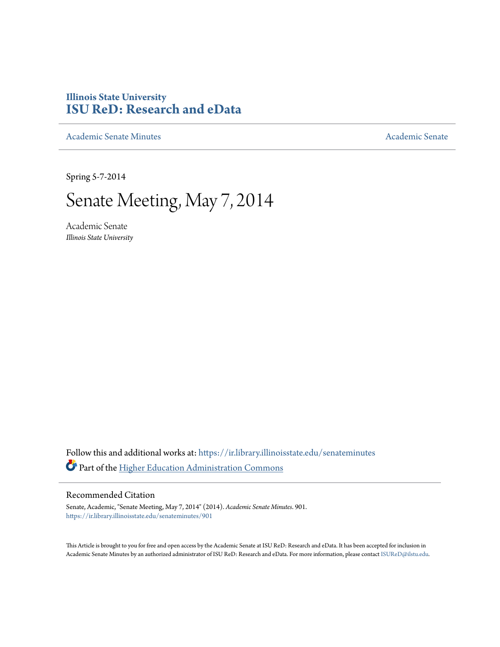## **Illinois State University [ISU ReD: Research and eData](https://ir.library.illinoisstate.edu?utm_source=ir.library.illinoisstate.edu%2Fsenateminutes%2F901&utm_medium=PDF&utm_campaign=PDFCoverPages)**

[Academic Senate Minutes](https://ir.library.illinoisstate.edu/senateminutes?utm_source=ir.library.illinoisstate.edu%2Fsenateminutes%2F901&utm_medium=PDF&utm_campaign=PDFCoverPages) [Academic Senate](https://ir.library.illinoisstate.edu/senate?utm_source=ir.library.illinoisstate.edu%2Fsenateminutes%2F901&utm_medium=PDF&utm_campaign=PDFCoverPages) Academic Senate

Spring 5-7-2014

# Senate Meeting, May 7, 2014

Academic Senate *Illinois State University*

Follow this and additional works at: [https://ir.library.illinoisstate.edu/senateminutes](https://ir.library.illinoisstate.edu/senateminutes?utm_source=ir.library.illinoisstate.edu%2Fsenateminutes%2F901&utm_medium=PDF&utm_campaign=PDFCoverPages) Part of the [Higher Education Administration Commons](http://network.bepress.com/hgg/discipline/791?utm_source=ir.library.illinoisstate.edu%2Fsenateminutes%2F901&utm_medium=PDF&utm_campaign=PDFCoverPages)

#### Recommended Citation

Senate, Academic, "Senate Meeting, May 7, 2014" (2014). *Academic Senate Minutes*. 901. [https://ir.library.illinoisstate.edu/senateminutes/901](https://ir.library.illinoisstate.edu/senateminutes/901?utm_source=ir.library.illinoisstate.edu%2Fsenateminutes%2F901&utm_medium=PDF&utm_campaign=PDFCoverPages)

This Article is brought to you for free and open access by the Academic Senate at ISU ReD: Research and eData. It has been accepted for inclusion in Academic Senate Minutes by an authorized administrator of ISU ReD: Research and eData. For more information, please contact [ISUReD@ilstu.edu.](mailto:ISUReD@ilstu.edu)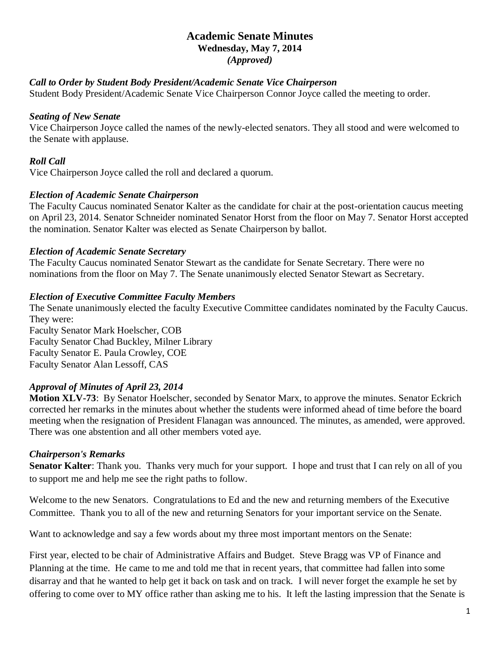### **Academic Senate Minutes Wednesday, May 7, 2014** *(Approved)*

#### *Call to Order by Student Body President/Academic Senate Vice Chairperson*

Student Body President/Academic Senate Vice Chairperson Connor Joyce called the meeting to order.

#### *Seating of New Senate*

Vice Chairperson Joyce called the names of the newly-elected senators. They all stood and were welcomed to the Senate with applause.

#### *Roll Call*

Vice Chairperson Joyce called the roll and declared a quorum.

#### *Election of Academic Senate Chairperson*

The Faculty Caucus nominated Senator Kalter as the candidate for chair at the post-orientation caucus meeting on April 23, 2014. Senator Schneider nominated Senator Horst from the floor on May 7. Senator Horst accepted the nomination. Senator Kalter was elected as Senate Chairperson by ballot.

#### *Election of Academic Senate Secretary*

The Faculty Caucus nominated Senator Stewart as the candidate for Senate Secretary. There were no nominations from the floor on May 7. The Senate unanimously elected Senator Stewart as Secretary.

#### *Election of Executive Committee Faculty Members*

The Senate unanimously elected the faculty Executive Committee candidates nominated by the Faculty Caucus. They were:

Faculty Senator Mark Hoelscher, COB Faculty Senator Chad Buckley, Milner Library Faculty Senator E. Paula Crowley, COE Faculty Senator Alan Lessoff, CAS

#### *Approval of Minutes of April 23, 2014*

**Motion XLV-73**: By Senator Hoelscher, seconded by Senator Marx, to approve the minutes. Senator Eckrich corrected her remarks in the minutes about whether the students were informed ahead of time before the board meeting when the resignation of President Flanagan was announced. The minutes, as amended, were approved. There was one abstention and all other members voted aye.

#### *Chairperson's Remarks*

**Senator Kalter**: Thank you. Thanks very much for your support. I hope and trust that I can rely on all of you to support me and help me see the right paths to follow.

Welcome to the new Senators. Congratulations to Ed and the new and returning members of the Executive Committee. Thank you to all of the new and returning Senators for your important service on the Senate.

Want to acknowledge and say a few words about my three most important mentors on the Senate:

First year, elected to be chair of Administrative Affairs and Budget. Steve Bragg was VP of Finance and Planning at the time. He came to me and told me that in recent years, that committee had fallen into some disarray and that he wanted to help get it back on task and on track. I will never forget the example he set by offering to come over to MY office rather than asking me to his. It left the lasting impression that the Senate is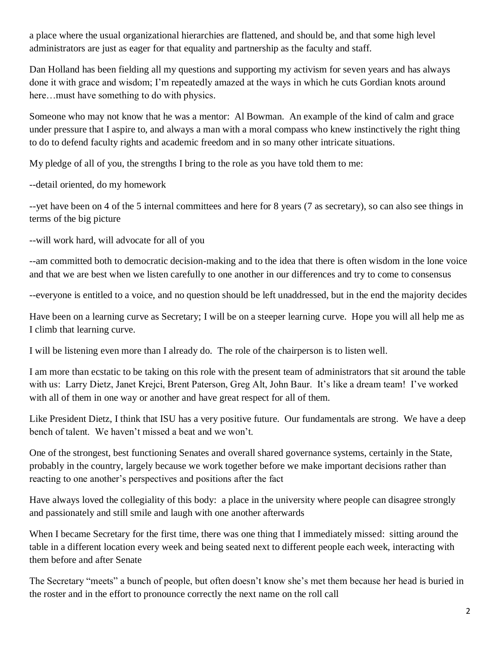a place where the usual organizational hierarchies are flattened, and should be, and that some high level administrators are just as eager for that equality and partnership as the faculty and staff.

Dan Holland has been fielding all my questions and supporting my activism for seven years and has always done it with grace and wisdom; I'm repeatedly amazed at the ways in which he cuts Gordian knots around here... must have something to do with physics.

Someone who may not know that he was a mentor: Al Bowman. An example of the kind of calm and grace under pressure that I aspire to, and always a man with a moral compass who knew instinctively the right thing to do to defend faculty rights and academic freedom and in so many other intricate situations.

My pledge of all of you, the strengths I bring to the role as you have told them to me:

--detail oriented, do my homework

--yet have been on 4 of the 5 internal committees and here for 8 years (7 as secretary), so can also see things in terms of the big picture

--will work hard, will advocate for all of you

--am committed both to democratic decision-making and to the idea that there is often wisdom in the lone voice and that we are best when we listen carefully to one another in our differences and try to come to consensus

--everyone is entitled to a voice, and no question should be left unaddressed, but in the end the majority decides

Have been on a learning curve as Secretary; I will be on a steeper learning curve. Hope you will all help me as I climb that learning curve.

I will be listening even more than I already do. The role of the chairperson is to listen well.

I am more than ecstatic to be taking on this role with the present team of administrators that sit around the table with us: Larry Dietz, Janet Krejci, Brent Paterson, Greg Alt, John Baur. It's like a dream team! I've worked with all of them in one way or another and have great respect for all of them.

Like President Dietz, I think that ISU has a very positive future. Our fundamentals are strong. We have a deep bench of talent. We haven't missed a beat and we won't.

One of the strongest, best functioning Senates and overall shared governance systems, certainly in the State, probably in the country, largely because we work together before we make important decisions rather than reacting to one another's perspectives and positions after the fact

Have always loved the collegiality of this body: a place in the university where people can disagree strongly and passionately and still smile and laugh with one another afterwards

When I became Secretary for the first time, there was one thing that I immediately missed: sitting around the table in a different location every week and being seated next to different people each week, interacting with them before and after Senate

The Secretary "meets" a bunch of people, but often doesn't know she's met them because her head is buried in the roster and in the effort to pronounce correctly the next name on the roll call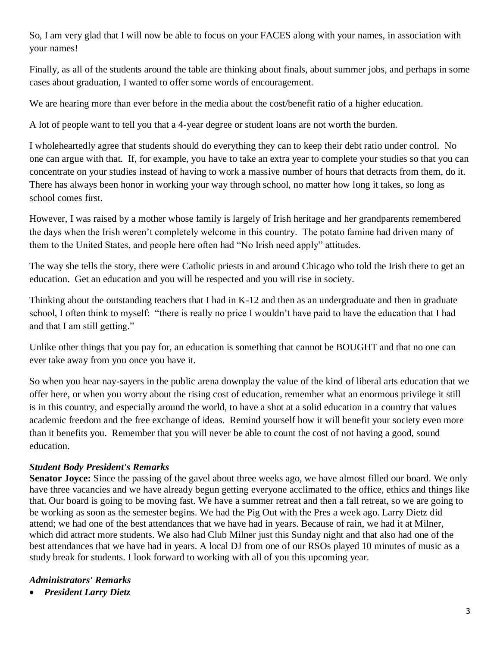So, I am very glad that I will now be able to focus on your FACES along with your names, in association with your names!

Finally, as all of the students around the table are thinking about finals, about summer jobs, and perhaps in some cases about graduation, I wanted to offer some words of encouragement.

We are hearing more than ever before in the media about the cost/benefit ratio of a higher education.

A lot of people want to tell you that a 4-year degree or student loans are not worth the burden.

I wholeheartedly agree that students should do everything they can to keep their debt ratio under control. No one can argue with that. If, for example, you have to take an extra year to complete your studies so that you can concentrate on your studies instead of having to work a massive number of hours that detracts from them, do it. There has always been honor in working your way through school, no matter how long it takes, so long as school comes first.

However, I was raised by a mother whose family is largely of Irish heritage and her grandparents remembered the days when the Irish weren't completely welcome in this country. The potato famine had driven many of them to the United States, and people here often had "No Irish need apply" attitudes.

The way she tells the story, there were Catholic priests in and around Chicago who told the Irish there to get an education. Get an education and you will be respected and you will rise in society.

Thinking about the outstanding teachers that I had in K-12 and then as an undergraduate and then in graduate school, I often think to myself: "there is really no price I wouldn't have paid to have the education that I had and that I am still getting."

Unlike other things that you pay for, an education is something that cannot be BOUGHT and that no one can ever take away from you once you have it.

So when you hear nay-sayers in the public arena downplay the value of the kind of liberal arts education that we offer here, or when you worry about the rising cost of education, remember what an enormous privilege it still is in this country, and especially around the world, to have a shot at a solid education in a country that values academic freedom and the free exchange of ideas. Remind yourself how it will benefit your society even more than it benefits you. Remember that you will never be able to count the cost of not having a good, sound education.

## *Student Body President's Remarks*

**Senator Joyce:** Since the passing of the gavel about three weeks ago, we have almost filled our board. We only have three vacancies and we have already begun getting everyone acclimated to the office, ethics and things like that. Our board is going to be moving fast. We have a summer retreat and then a fall retreat, so we are going to be working as soon as the semester begins. We had the Pig Out with the Pres a week ago. Larry Dietz did attend; we had one of the best attendances that we have had in years. Because of rain, we had it at Milner, which did attract more students. We also had Club Milner just this Sunday night and that also had one of the best attendances that we have had in years. A local DJ from one of our RSOs played 10 minutes of music as a study break for students. I look forward to working with all of you this upcoming year.

#### *Administrators' Remarks*

• *President Larry Dietz*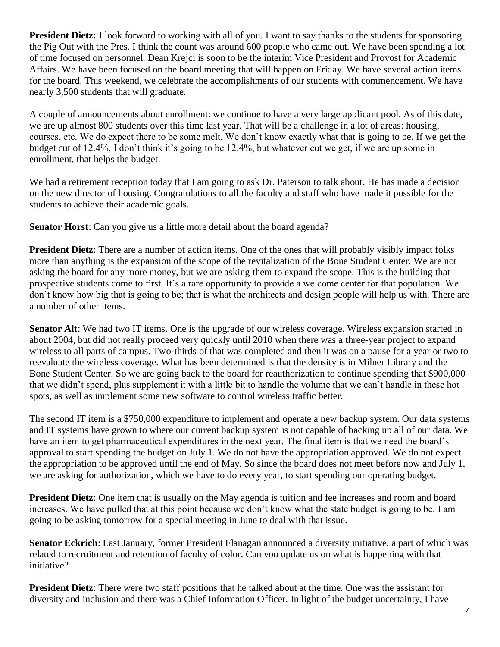**President Dietz:** I look forward to working with all of you. I want to say thanks to the students for sponsoring the Pig Out with the Pres. I think the count was around 600 people who came out. We have been spending a lot of time focused on personnel. Dean Krejci is soon to be the interim Vice President and Provost for Academic Affairs. We have been focused on the board meeting that will happen on Friday. We have several action items for the board. This weekend, we celebrate the accomplishments of our students with commencement. We have nearly 3,500 students that will graduate.

A couple of announcements about enrollment: we continue to have a very large applicant pool. As of this date, we are up almost 800 students over this time last year. That will be a challenge in a lot of areas: housing, courses, etc. We do expect there to be some melt. We don't know exactly what that is going to be. If we get the budget cut of 12.4%, I don't think it's going to be 12.4%, but whatever cut we get, if we are up some in enrollment, that helps the budget.

We had a retirement reception today that I am going to ask Dr. Paterson to talk about. He has made a decision on the new director of housing. Congratulations to all the faculty and staff who have made it possible for the students to achieve their academic goals.

**Senator Horst**: Can you give us a little more detail about the board agenda?

**President Dietz**: There are a number of action items. One of the ones that will probably visibly impact folks more than anything is the expansion of the scope of the revitalization of the Bone Student Center. We are not asking the board for any more money, but we are asking them to expand the scope. This is the building that prospective students come to first. It's a rare opportunity to provide a welcome center for that population. We don't know how big that is going to be; that is what the architects and design people will help us with. There are a number of other items.

**Senator Alt**: We had two IT items. One is the upgrade of our wireless coverage. Wireless expansion started in about 2004, but did not really proceed very quickly until 2010 when there was a three-year project to expand wireless to all parts of campus. Two-thirds of that was completed and then it was on a pause for a year or two to reevaluate the wireless coverage. What has been determined is that the density is in Milner Library and the Bone Student Center. So we are going back to the board for reauthorization to continue spending that \$900,000 that we didn't spend, plus supplement it with a little bit to handle the volume that we can't handle in these hot spots, as well as implement some new software to control wireless traffic better.

The second IT item is a \$750,000 expenditure to implement and operate a new backup system. Our data systems and IT systems have grown to where our current backup system is not capable of backing up all of our data. We have an item to get pharmaceutical expenditures in the next year. The final item is that we need the board's approval to start spending the budget on July 1. We do not have the appropriation approved. We do not expect the appropriation to be approved until the end of May. So since the board does not meet before now and July 1, we are asking for authorization, which we have to do every year, to start spending our operating budget.

**President Dietz**: One item that is usually on the May agenda is tuition and fee increases and room and board increases. We have pulled that at this point because we don't know what the state budget is going to be. I am going to be asking tomorrow for a special meeting in June to deal with that issue.

**Senator Eckrich**: Last January, former President Flanagan announced a diversity initiative, a part of which was related to recruitment and retention of faculty of color. Can you update us on what is happening with that initiative?

**President Dietz**: There were two staff positions that he talked about at the time. One was the assistant for diversity and inclusion and there was a Chief Information Officer. In light of the budget uncertainty, I have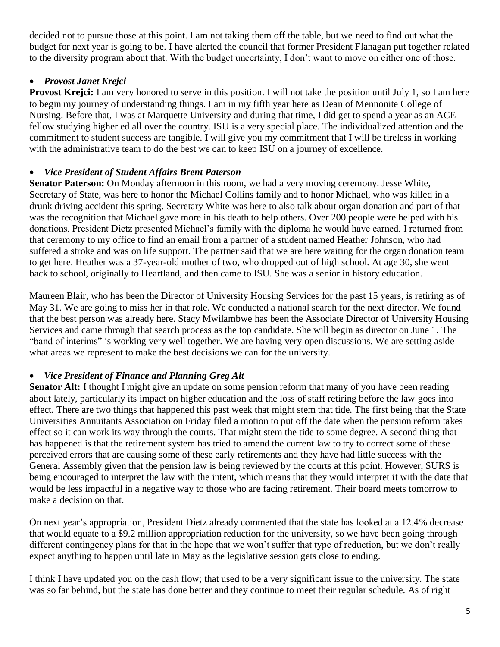decided not to pursue those at this point. I am not taking them off the table, but we need to find out what the budget for next year is going to be. I have alerted the council that former President Flanagan put together related to the diversity program about that. With the budget uncertainty, I don't want to move on either one of those.

## • *Provost Janet Krejci*

**Provost Krejci:** I am very honored to serve in this position. I will not take the position until July 1, so I am here to begin my journey of understanding things. I am in my fifth year here as Dean of Mennonite College of Nursing. Before that, I was at Marquette University and during that time, I did get to spend a year as an ACE fellow studying higher ed all over the country. ISU is a very special place. The individualized attention and the commitment to student success are tangible. I will give you my commitment that I will be tireless in working with the administrative team to do the best we can to keep ISU on a journey of excellence.

## • *Vice President of Student Affairs Brent Paterson*

**Senator Paterson:** On Monday afternoon in this room, we had a very moving ceremony. Jesse White, Secretary of State, was here to honor the Michael Collins family and to honor Michael, who was killed in a drunk driving accident this spring. Secretary White was here to also talk about organ donation and part of that was the recognition that Michael gave more in his death to help others. Over 200 people were helped with his donations. President Dietz presented Michael's family with the diploma he would have earned. I returned from that ceremony to my office to find an email from a partner of a student named Heather Johnson, who had suffered a stroke and was on life support. The partner said that we are here waiting for the organ donation team to get here. Heather was a 37-year-old mother of two, who dropped out of high school. At age 30, she went back to school, originally to Heartland, and then came to ISU. She was a senior in history education.

Maureen Blair, who has been the Director of University Housing Services for the past 15 years, is retiring as of May 31. We are going to miss her in that role. We conducted a national search for the next director. We found that the best person was already here. Stacy Mwilambwe has been the Associate Director of University Housing Services and came through that search process as the top candidate. She will begin as director on June 1. The "band of interims" is working very well together. We are having very open discussions. We are setting aside what areas we represent to make the best decisions we can for the university.

## • *Vice President of Finance and Planning Greg Alt*

**Senator Alt:** I thought I might give an update on some pension reform that many of you have been reading about lately, particularly its impact on higher education and the loss of staff retiring before the law goes into effect. There are two things that happened this past week that might stem that tide. The first being that the State Universities Annuitants Association on Friday filed a motion to put off the date when the pension reform takes effect so it can work its way through the courts. That might stem the tide to some degree. A second thing that has happened is that the retirement system has tried to amend the current law to try to correct some of these perceived errors that are causing some of these early retirements and they have had little success with the General Assembly given that the pension law is being reviewed by the courts at this point. However, SURS is being encouraged to interpret the law with the intent, which means that they would interpret it with the date that would be less impactful in a negative way to those who are facing retirement. Their board meets tomorrow to make a decision on that.

On next year's appropriation, President Dietz already commented that the state has looked at a 12.4% decrease that would equate to a \$9.2 million appropriation reduction for the university, so we have been going through different contingency plans for that in the hope that we won't suffer that type of reduction, but we don't really expect anything to happen until late in May as the legislative session gets close to ending.

I think I have updated you on the cash flow; that used to be a very significant issue to the university. The state was so far behind, but the state has done better and they continue to meet their regular schedule. As of right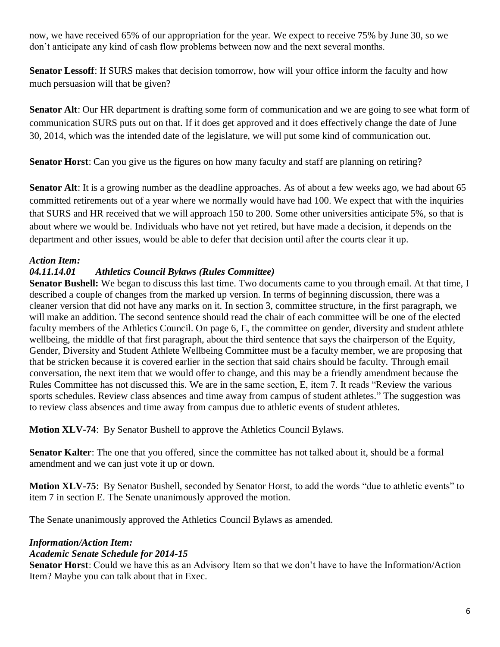now, we have received 65% of our appropriation for the year. We expect to receive 75% by June 30, so we don't anticipate any kind of cash flow problems between now and the next several months.

**Senator Lessoff**: If SURS makes that decision tomorrow, how will your office inform the faculty and how much persuasion will that be given?

**Senator Alt**: Our HR department is drafting some form of communication and we are going to see what form of communication SURS puts out on that. If it does get approved and it does effectively change the date of June 30, 2014, which was the intended date of the legislature, we will put some kind of communication out.

**Senator Horst**: Can you give us the figures on how many faculty and staff are planning on retiring?

**Senator Alt**: It is a growing number as the deadline approaches. As of about a few weeks ago, we had about 65 committed retirements out of a year where we normally would have had 100. We expect that with the inquiries that SURS and HR received that we will approach 150 to 200. Some other universities anticipate 5%, so that is about where we would be. Individuals who have not yet retired, but have made a decision, it depends on the department and other issues, would be able to defer that decision until after the courts clear it up.

## *Action Item:*

## *04.11.14.01 Athletics Council Bylaws (Rules Committee)*

**Senator Bushell:** We began to discuss this last time. Two documents came to you through email. At that time, I described a couple of changes from the marked up version. In terms of beginning discussion, there was a cleaner version that did not have any marks on it. In section 3, committee structure, in the first paragraph, we will make an addition. The second sentence should read the chair of each committee will be one of the elected faculty members of the Athletics Council. On page 6, E, the committee on gender, diversity and student athlete wellbeing, the middle of that first paragraph, about the third sentence that says the chairperson of the Equity, Gender, Diversity and Student Athlete Wellbeing Committee must be a faculty member, we are proposing that that be stricken because it is covered earlier in the section that said chairs should be faculty. Through email conversation, the next item that we would offer to change, and this may be a friendly amendment because the Rules Committee has not discussed this. We are in the same section, E, item 7. It reads "Review the various sports schedules. Review class absences and time away from campus of student athletes." The suggestion was to review class absences and time away from campus due to athletic events of student athletes.

**Motion XLV-74**: By Senator Bushell to approve the Athletics Council Bylaws.

**Senator Kalter**: The one that you offered, since the committee has not talked about it, should be a formal amendment and we can just vote it up or down.

**Motion XLV-75**: By Senator Bushell, seconded by Senator Horst, to add the words "due to athletic events" to item 7 in section E. The Senate unanimously approved the motion.

The Senate unanimously approved the Athletics Council Bylaws as amended.

#### *Information/Action Item:*

#### *Academic Senate Schedule for 2014-15*

**Senator Horst**: Could we have this as an Advisory Item so that we don't have to have the Information/Action Item? Maybe you can talk about that in Exec.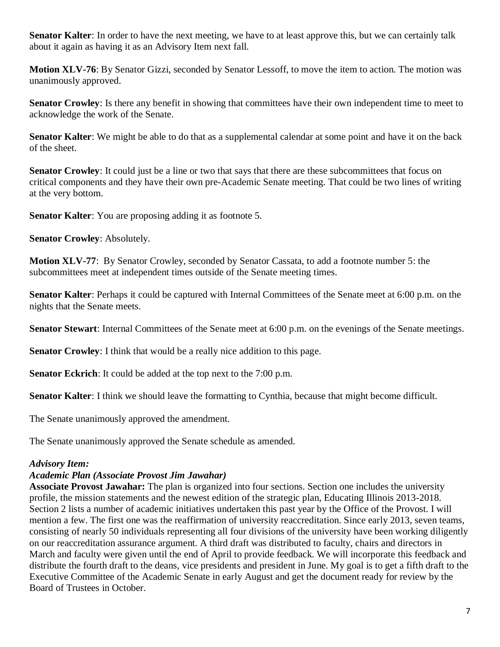**Senator Kalter**: In order to have the next meeting, we have to at least approve this, but we can certainly talk about it again as having it as an Advisory Item next fall.

**Motion XLV-76**: By Senator Gizzi, seconded by Senator Lessoff, to move the item to action. The motion was unanimously approved.

**Senator Crowley**: Is there any benefit in showing that committees have their own independent time to meet to acknowledge the work of the Senate.

**Senator Kalter**: We might be able to do that as a supplemental calendar at some point and have it on the back of the sheet.

**Senator Crowley**: It could just be a line or two that says that there are these subcommittees that focus on critical components and they have their own pre-Academic Senate meeting. That could be two lines of writing at the very bottom.

**Senator Kalter**: You are proposing adding it as footnote 5.

**Senator Crowley**: Absolutely.

**Motion XLV-77**: By Senator Crowley, seconded by Senator Cassata, to add a footnote number 5: the subcommittees meet at independent times outside of the Senate meeting times.

**Senator Kalter**: Perhaps it could be captured with Internal Committees of the Senate meet at 6:00 p.m. on the nights that the Senate meets.

**Senator Stewart**: Internal Committees of the Senate meet at 6:00 p.m. on the evenings of the Senate meetings.

**Senator Crowley**: I think that would be a really nice addition to this page.

**Senator Eckrich**: It could be added at the top next to the 7:00 p.m.

**Senator Kalter**: I think we should leave the formatting to Cynthia, because that might become difficult.

The Senate unanimously approved the amendment.

The Senate unanimously approved the Senate schedule as amended.

#### *Advisory Item:*

#### *Academic Plan (Associate Provost Jim Jawahar)*

**Associate Provost Jawahar:** The plan is organized into four sections. Section one includes the university profile, the mission statements and the newest edition of the strategic plan, Educating Illinois 2013-2018. Section 2 lists a number of academic initiatives undertaken this past year by the Office of the Provost. I will mention a few. The first one was the reaffirmation of university reaccreditation. Since early 2013, seven teams, consisting of nearly 50 individuals representing all four divisions of the university have been working diligently on our reaccreditation assurance argument. A third draft was distributed to faculty, chairs and directors in March and faculty were given until the end of April to provide feedback. We will incorporate this feedback and distribute the fourth draft to the deans, vice presidents and president in June. My goal is to get a fifth draft to the Executive Committee of the Academic Senate in early August and get the document ready for review by the Board of Trustees in October.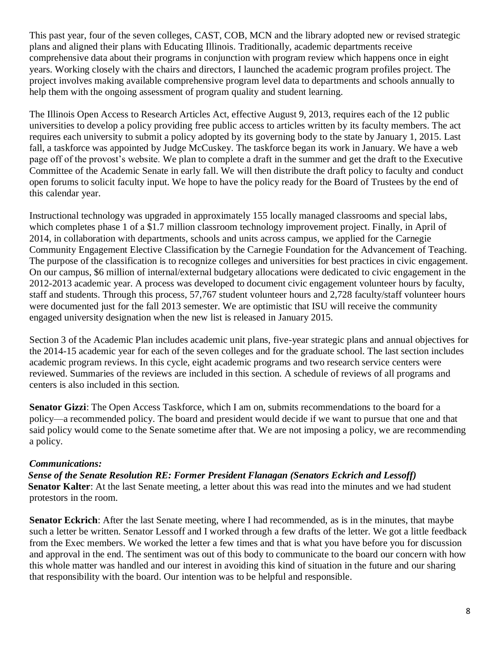This past year, four of the seven colleges, CAST, COB, MCN and the library adopted new or revised strategic plans and aligned their plans with Educating Illinois. Traditionally, academic departments receive comprehensive data about their programs in conjunction with program review which happens once in eight years. Working closely with the chairs and directors, I launched the academic program profiles project. The project involves making available comprehensive program level data to departments and schools annually to help them with the ongoing assessment of program quality and student learning.

The Illinois Open Access to Research Articles Act, effective August 9, 2013, requires each of the 12 public universities to develop a policy providing free public access to articles written by its faculty members. The act requires each university to submit a policy adopted by its governing body to the state by January 1, 2015. Last fall, a taskforce was appointed by Judge McCuskey. The taskforce began its work in January. We have a web page off of the provost's website. We plan to complete a draft in the summer and get the draft to the Executive Committee of the Academic Senate in early fall. We will then distribute the draft policy to faculty and conduct open forums to solicit faculty input. We hope to have the policy ready for the Board of Trustees by the end of this calendar year.

Instructional technology was upgraded in approximately 155 locally managed classrooms and special labs, which completes phase 1 of a \$1.7 million classroom technology improvement project. Finally, in April of 2014, in collaboration with departments, schools and units across campus, we applied for the Carnegie Community Engagement Elective Classification by the Carnegie Foundation for the Advancement of Teaching. The purpose of the classification is to recognize colleges and universities for best practices in civic engagement. On our campus, \$6 million of internal/external budgetary allocations were dedicated to civic engagement in the 2012-2013 academic year. A process was developed to document civic engagement volunteer hours by faculty, staff and students. Through this process, 57,767 student volunteer hours and 2,728 faculty/staff volunteer hours were documented just for the fall 2013 semester. We are optimistic that ISU will receive the community engaged university designation when the new list is released in January 2015.

Section 3 of the Academic Plan includes academic unit plans, five-year strategic plans and annual objectives for the 2014-15 academic year for each of the seven colleges and for the graduate school. The last section includes academic program reviews. In this cycle, eight academic programs and two research service centers were reviewed. Summaries of the reviews are included in this section. A schedule of reviews of all programs and centers is also included in this section.

**Senator Gizzi**: The Open Access Taskforce, which I am on, submits recommendations to the board for a policy—a recommended policy. The board and president would decide if we want to pursue that one and that said policy would come to the Senate sometime after that. We are not imposing a policy, we are recommending a policy.

#### *Communications:*

*Sense of the Senate Resolution RE: Former President Flanagan (Senators Eckrich and Lessoff)* **Senator Kalter**: At the last Senate meeting, a letter about this was read into the minutes and we had student protestors in the room.

**Senator Eckrich**: After the last Senate meeting, where I had recommended, as is in the minutes, that maybe such a letter be written. Senator Lessoff and I worked through a few drafts of the letter. We got a little feedback from the Exec members. We worked the letter a few times and that is what you have before you for discussion and approval in the end. The sentiment was out of this body to communicate to the board our concern with how this whole matter was handled and our interest in avoiding this kind of situation in the future and our sharing that responsibility with the board. Our intention was to be helpful and responsible.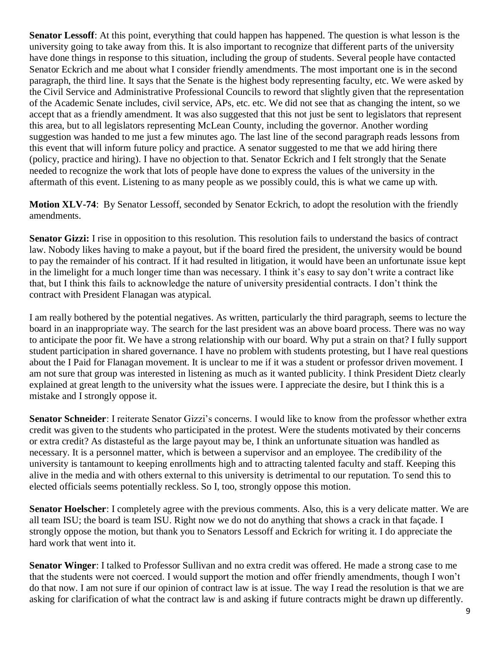**Senator Lessoff**: At this point, everything that could happen has happened. The question is what lesson is the university going to take away from this. It is also important to recognize that different parts of the university have done things in response to this situation, including the group of students. Several people have contacted Senator Eckrich and me about what I consider friendly amendments. The most important one is in the second paragraph, the third line. It says that the Senate is the highest body representing faculty, etc. We were asked by the Civil Service and Administrative Professional Councils to reword that slightly given that the representation of the Academic Senate includes, civil service, APs, etc. etc. We did not see that as changing the intent, so we accept that as a friendly amendment. It was also suggested that this not just be sent to legislators that represent this area, but to all legislators representing McLean County, including the governor. Another wording suggestion was handed to me just a few minutes ago. The last line of the second paragraph reads lessons from this event that will inform future policy and practice. A senator suggested to me that we add hiring there (policy, practice and hiring). I have no objection to that. Senator Eckrich and I felt strongly that the Senate needed to recognize the work that lots of people have done to express the values of the university in the aftermath of this event. Listening to as many people as we possibly could, this is what we came up with.

**Motion XLV-74**: By Senator Lessoff, seconded by Senator Eckrich, to adopt the resolution with the friendly amendments.

**Senator Gizzi:** I rise in opposition to this resolution. This resolution fails to understand the basics of contract law. Nobody likes having to make a payout, but if the board fired the president, the university would be bound to pay the remainder of his contract. If it had resulted in litigation, it would have been an unfortunate issue kept in the limelight for a much longer time than was necessary. I think it's easy to say don't write a contract like that, but I think this fails to acknowledge the nature of university presidential contracts. I don't think the contract with President Flanagan was atypical.

I am really bothered by the potential negatives. As written, particularly the third paragraph, seems to lecture the board in an inappropriate way. The search for the last president was an above board process. There was no way to anticipate the poor fit. We have a strong relationship with our board. Why put a strain on that? I fully support student participation in shared governance. I have no problem with students protesting, but I have real questions about the I Paid for Flanagan movement. It is unclear to me if it was a student or professor driven movement. I am not sure that group was interested in listening as much as it wanted publicity. I think President Dietz clearly explained at great length to the university what the issues were. I appreciate the desire, but I think this is a mistake and I strongly oppose it.

**Senator Schneider**: I reiterate Senator Gizzi's concerns. I would like to know from the professor whether extra credit was given to the students who participated in the protest. Were the students motivated by their concerns or extra credit? As distasteful as the large payout may be, I think an unfortunate situation was handled as necessary. It is a personnel matter, which is between a supervisor and an employee. The credibility of the university is tantamount to keeping enrollments high and to attracting talented faculty and staff. Keeping this alive in the media and with others external to this university is detrimental to our reputation. To send this to elected officials seems potentially reckless. So I, too, strongly oppose this motion.

**Senator Hoelscher**: I completely agree with the previous comments. Also, this is a very delicate matter. We are all team ISU; the board is team ISU. Right now we do not do anything that shows a crack in that façade. I strongly oppose the motion, but thank you to Senators Lessoff and Eckrich for writing it. I do appreciate the hard work that went into it.

**Senator Winger**: I talked to Professor Sullivan and no extra credit was offered. He made a strong case to me that the students were not coerced. I would support the motion and offer friendly amendments, though I won't do that now. I am not sure if our opinion of contract law is at issue. The way I read the resolution is that we are asking for clarification of what the contract law is and asking if future contracts might be drawn up differently.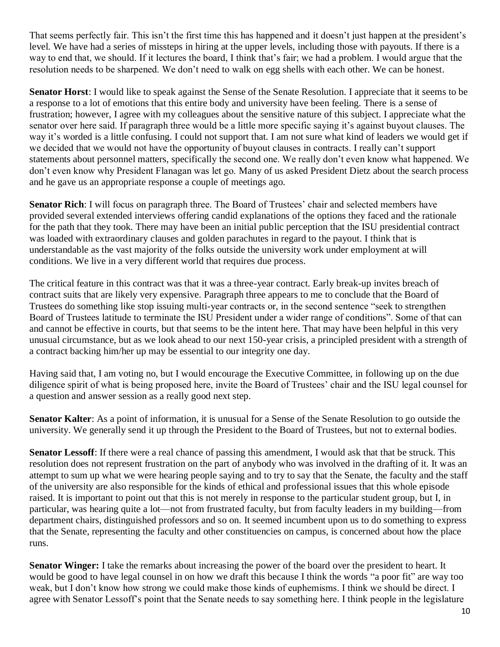That seems perfectly fair. This isn't the first time this has happened and it doesn't just happen at the president's level. We have had a series of missteps in hiring at the upper levels, including those with payouts. If there is a way to end that, we should. If it lectures the board, I think that's fair; we had a problem. I would argue that the resolution needs to be sharpened. We don't need to walk on egg shells with each other. We can be honest.

**Senator Horst**: I would like to speak against the Sense of the Senate Resolution. I appreciate that it seems to be a response to a lot of emotions that this entire body and university have been feeling. There is a sense of frustration; however, I agree with my colleagues about the sensitive nature of this subject. I appreciate what the senator over here said. If paragraph three would be a little more specific saying it's against buyout clauses. The way it's worded is a little confusing. I could not support that. I am not sure what kind of leaders we would get if we decided that we would not have the opportunity of buyout clauses in contracts. I really can't support statements about personnel matters, specifically the second one. We really don't even know what happened. We don't even know why President Flanagan was let go. Many of us asked President Dietz about the search process and he gave us an appropriate response a couple of meetings ago.

**Senator Rich**: I will focus on paragraph three. The Board of Trustees' chair and selected members have provided several extended interviews offering candid explanations of the options they faced and the rationale for the path that they took. There may have been an initial public perception that the ISU presidential contract was loaded with extraordinary clauses and golden parachutes in regard to the payout. I think that is understandable as the vast majority of the folks outside the university work under employment at will conditions. We live in a very different world that requires due process.

The critical feature in this contract was that it was a three-year contract. Early break-up invites breach of contract suits that are likely very expensive. Paragraph three appears to me to conclude that the Board of Trustees do something like stop issuing multi-year contracts or, in the second sentence "seek to strengthen Board of Trustees latitude to terminate the ISU President under a wider range of conditions". Some of that can and cannot be effective in courts, but that seems to be the intent here. That may have been helpful in this very unusual circumstance, but as we look ahead to our next 150-year crisis, a principled president with a strength of a contract backing him/her up may be essential to our integrity one day.

Having said that, I am voting no, but I would encourage the Executive Committee, in following up on the due diligence spirit of what is being proposed here, invite the Board of Trustees' chair and the ISU legal counsel for a question and answer session as a really good next step.

**Senator Kalter**: As a point of information, it is unusual for a Sense of the Senate Resolution to go outside the university. We generally send it up through the President to the Board of Trustees, but not to external bodies.

**Senator Lessoff**: If there were a real chance of passing this amendment, I would ask that that be struck. This resolution does not represent frustration on the part of anybody who was involved in the drafting of it. It was an attempt to sum up what we were hearing people saying and to try to say that the Senate, the faculty and the staff of the university are also responsible for the kinds of ethical and professional issues that this whole episode raised. It is important to point out that this is not merely in response to the particular student group, but I, in particular, was hearing quite a lot—not from frustrated faculty, but from faculty leaders in my building—from department chairs, distinguished professors and so on. It seemed incumbent upon us to do something to express that the Senate, representing the faculty and other constituencies on campus, is concerned about how the place runs.

**Senator Winger:** I take the remarks about increasing the power of the board over the president to heart. It would be good to have legal counsel in on how we draft this because I think the words "a poor fit" are way too weak, but I don't know how strong we could make those kinds of euphemisms. I think we should be direct. I agree with Senator Lessoff's point that the Senate needs to say something here. I think people in the legislature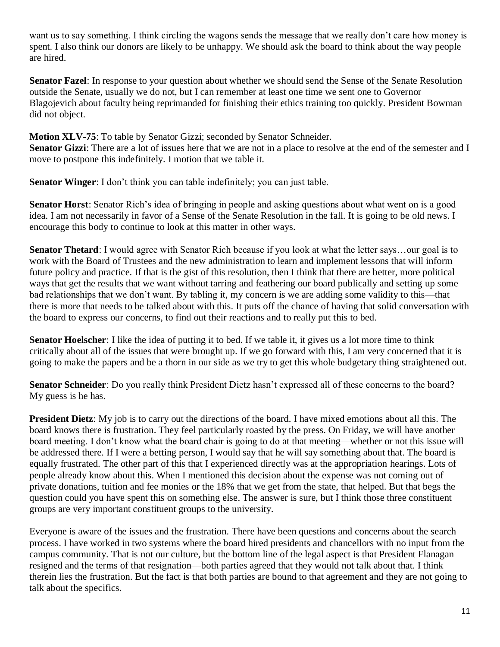want us to say something. I think circling the wagons sends the message that we really don't care how money is spent. I also think our donors are likely to be unhappy. We should ask the board to think about the way people are hired.

**Senator Fazel**: In response to your question about whether we should send the Sense of the Senate Resolution outside the Senate, usually we do not, but I can remember at least one time we sent one to Governor Blagojevich about faculty being reprimanded for finishing their ethics training too quickly. President Bowman did not object.

**Motion XLV-75**: To table by Senator Gizzi; seconded by Senator Schneider. **Senator Gizzi**: There are a lot of issues here that we are not in a place to resolve at the end of the semester and I move to postpone this indefinitely. I motion that we table it.

**Senator Winger**: I don't think you can table indefinitely; you can just table.

**Senator Horst**: Senator Rich's idea of bringing in people and asking questions about what went on is a good idea. I am not necessarily in favor of a Sense of the Senate Resolution in the fall. It is going to be old news. I encourage this body to continue to look at this matter in other ways.

**Senator Thetard**: I would agree with Senator Rich because if you look at what the letter says...our goal is to work with the Board of Trustees and the new administration to learn and implement lessons that will inform future policy and practice. If that is the gist of this resolution, then I think that there are better, more political ways that get the results that we want without tarring and feathering our board publically and setting up some bad relationships that we don't want. By tabling it, my concern is we are adding some validity to this—that there is more that needs to be talked about with this. It puts off the chance of having that solid conversation with the board to express our concerns, to find out their reactions and to really put this to bed.

**Senator Hoelscher**: I like the idea of putting it to bed. If we table it, it gives us a lot more time to think critically about all of the issues that were brought up. If we go forward with this, I am very concerned that it is going to make the papers and be a thorn in our side as we try to get this whole budgetary thing straightened out.

**Senator Schneider**: Do you really think President Dietz hasn't expressed all of these concerns to the board? My guess is he has.

**President Dietz**: My job is to carry out the directions of the board. I have mixed emotions about all this. The board knows there is frustration. They feel particularly roasted by the press. On Friday, we will have another board meeting. I don't know what the board chair is going to do at that meeting—whether or not this issue will be addressed there. If I were a betting person, I would say that he will say something about that. The board is equally frustrated. The other part of this that I experienced directly was at the appropriation hearings. Lots of people already know about this. When I mentioned this decision about the expense was not coming out of private donations, tuition and fee monies or the 18% that we get from the state, that helped. But that begs the question could you have spent this on something else. The answer is sure, but I think those three constituent groups are very important constituent groups to the university.

Everyone is aware of the issues and the frustration. There have been questions and concerns about the search process. I have worked in two systems where the board hired presidents and chancellors with no input from the campus community. That is not our culture, but the bottom line of the legal aspect is that President Flanagan resigned and the terms of that resignation—both parties agreed that they would not talk about that. I think therein lies the frustration. But the fact is that both parties are bound to that agreement and they are not going to talk about the specifics.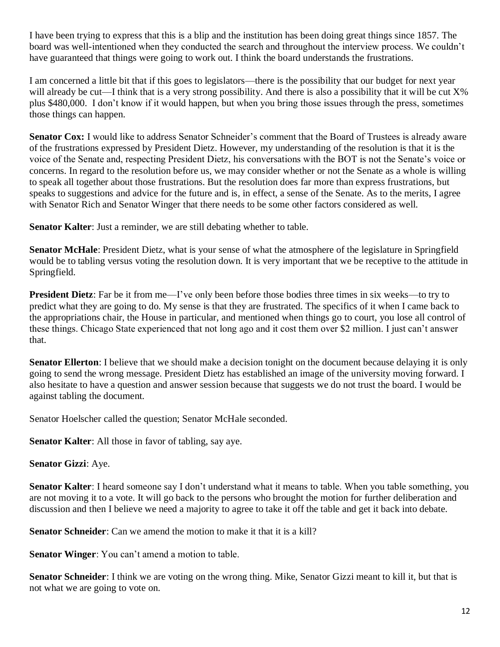I have been trying to express that this is a blip and the institution has been doing great things since 1857. The board was well-intentioned when they conducted the search and throughout the interview process. We couldn't have guaranteed that things were going to work out. I think the board understands the frustrations.

I am concerned a little bit that if this goes to legislators—there is the possibility that our budget for next year will already be cut—I think that is a very strong possibility. And there is also a possibility that it will be cut  $X\%$ plus \$480,000. I don't know if it would happen, but when you bring those issues through the press, sometimes those things can happen.

Senator Cox: I would like to address Senator Schneider's comment that the Board of Trustees is already aware of the frustrations expressed by President Dietz. However, my understanding of the resolution is that it is the voice of the Senate and, respecting President Dietz, his conversations with the BOT is not the Senate's voice or concerns. In regard to the resolution before us, we may consider whether or not the Senate as a whole is willing to speak all together about those frustrations. But the resolution does far more than express frustrations, but speaks to suggestions and advice for the future and is, in effect, a sense of the Senate. As to the merits, I agree with Senator Rich and Senator Winger that there needs to be some other factors considered as well.

**Senator Kalter**: Just a reminder, we are still debating whether to table.

**Senator McHale**: President Dietz, what is your sense of what the atmosphere of the legislature in Springfield would be to tabling versus voting the resolution down. It is very important that we be receptive to the attitude in Springfield.

**President Dietz**: Far be it from me—I've only been before those bodies three times in six weeks—to try to predict what they are going to do. My sense is that they are frustrated. The specifics of it when I came back to the appropriations chair, the House in particular, and mentioned when things go to court, you lose all control of these things. Chicago State experienced that not long ago and it cost them over \$2 million. I just can't answer that.

**Senator Ellerton**: I believe that we should make a decision tonight on the document because delaying it is only going to send the wrong message. President Dietz has established an image of the university moving forward. I also hesitate to have a question and answer session because that suggests we do not trust the board. I would be against tabling the document.

Senator Hoelscher called the question; Senator McHale seconded.

**Senator Kalter**: All those in favor of tabling, say aye.

**Senator Gizzi**: Aye.

**Senator Kalter**: I heard someone say I don't understand what it means to table. When you table something, you are not moving it to a vote. It will go back to the persons who brought the motion for further deliberation and discussion and then I believe we need a majority to agree to take it off the table and get it back into debate.

**Senator Schneider**: Can we amend the motion to make it that it is a kill?

**Senator Winger**: You can't amend a motion to table.

**Senator Schneider**: I think we are voting on the wrong thing. Mike, Senator Gizzi meant to kill it, but that is not what we are going to vote on.